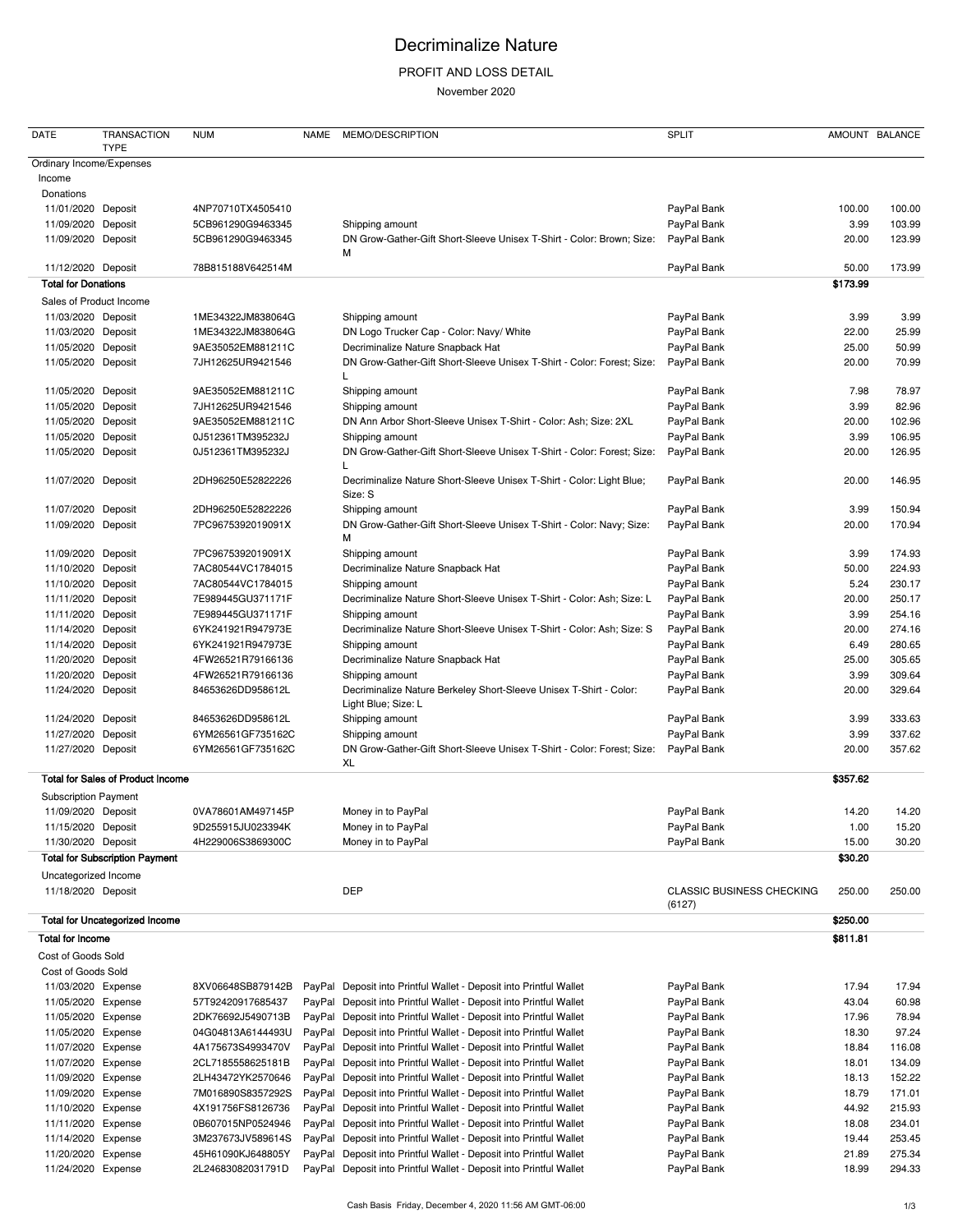# Decriminalize Nature

### PROFIT AND LOSS DETAIL

November 2020

| <b>DATE</b>                                | <b>TRANSACTION</b><br><b>TYPE</b>        | <b>NUM</b>        | <b>NAME</b> | MEMO/DESCRIPTION                                                                          | <b>SPLIT</b>                     |          | AMOUNT BALANCE   |
|--------------------------------------------|------------------------------------------|-------------------|-------------|-------------------------------------------------------------------------------------------|----------------------------------|----------|------------------|
| Ordinary Income/Expenses                   |                                          |                   |             |                                                                                           |                                  |          |                  |
| Income                                     |                                          |                   |             |                                                                                           |                                  |          |                  |
| Donations                                  |                                          |                   |             |                                                                                           |                                  |          |                  |
| 11/01/2020 Deposit                         |                                          | 4NP70710TX4505410 |             |                                                                                           | PayPal Bank                      | 100.00   | 100.00           |
| 11/09/2020 Deposit                         |                                          | 5CB961290G9463345 |             | Shipping amount                                                                           | PayPal Bank                      | 3.99     | 103.99           |
| 11/09/2020 Deposit                         |                                          | 5CB961290G9463345 |             | DN Grow-Gather-Gift Short-Sleeve Unisex T-Shirt - Color: Brown; Size:<br>М                | PayPal Bank                      | 20.00    | 123.99           |
| 11/12/2020 Deposit                         |                                          | 78B815188V642514M |             |                                                                                           | PayPal Bank                      | 50.00    | 173.99           |
| <b>Total for Donations</b>                 |                                          |                   |             |                                                                                           |                                  | \$173.99 |                  |
|                                            | Sales of Product Income                  |                   |             |                                                                                           |                                  |          |                  |
| 11/03/2020 Deposit                         |                                          | 1ME34322JM838064G |             | Shipping amount                                                                           | PayPal Bank                      | 3.99     | 3.99             |
| 11/03/2020 Deposit                         |                                          | 1ME34322JM838064G |             | DN Logo Trucker Cap - Color: Navy/ White                                                  | PayPal Bank                      | 22.00    | 25.99            |
| 11/05/2020 Deposit                         |                                          | 9AE35052EM881211C |             | Decriminalize Nature Snapback Hat                                                         | PayPal Bank                      | 25.00    | 50.99            |
| 11/05/2020 Deposit                         |                                          | 7JH12625UR9421546 |             | DN Grow-Gather-Gift Short-Sleeve Unisex T-Shirt - Color: Forest; Size:                    | PayPal Bank                      | 20.00    | 70.99            |
| 11/05/2020 Deposit                         |                                          | 9AE35052EM881211C |             | Shipping amount                                                                           | PayPal Bank                      | 7.98     | 78.97            |
| 11/05/2020 Deposit                         |                                          | 7JH12625UR9421546 |             | Shipping amount                                                                           | PayPal Bank                      | 3.99     | 82.96            |
| 11/05/2020 Deposit                         |                                          | 9AE35052EM881211C |             | DN Ann Arbor Short-Sleeve Unisex T-Shirt - Color: Ash; Size: 2XL                          | PayPal Bank                      | 20.00    | 102.96           |
| 11/05/2020 Deposit                         |                                          | 0J512361TM395232J |             | Shipping amount                                                                           | PayPal Bank                      | 3.99     | 106.95           |
| 11/05/2020 Deposit                         |                                          | 0J512361TM395232J |             | DN Grow-Gather-Gift Short-Sleeve Unisex T-Shirt - Color: Forest; Size:                    | PayPal Bank                      | 20.00    | 126.95           |
| 11/07/2020 Deposit                         |                                          | 2DH96250E52822226 |             | Decriminalize Nature Short-Sleeve Unisex T-Shirt - Color: Light Blue;<br>Size: S          | PayPal Bank                      | 20.00    | 146.95           |
| 11/07/2020 Deposit                         |                                          | 2DH96250E52822226 |             | Shipping amount                                                                           | PayPal Bank                      | 3.99     | 150.94           |
| 11/09/2020 Deposit                         |                                          | 7PC9675392019091X |             | DN Grow-Gather-Gift Short-Sleeve Unisex T-Shirt - Color: Navy; Size:<br>м                 | PayPal Bank                      | 20.00    | 170.94           |
| 11/09/2020 Deposit                         |                                          | 7PC9675392019091X |             | Shipping amount                                                                           | PayPal Bank                      | 3.99     | 174.93           |
| 11/10/2020 Deposit                         |                                          | 7AC80544VC1784015 |             | Decriminalize Nature Snapback Hat                                                         | PayPal Bank                      | 50.00    | 224.93           |
| 11/10/2020 Deposit                         |                                          | 7AC80544VC1784015 |             | Shipping amount                                                                           | PayPal Bank                      | 5.24     | 230.17           |
| 11/11/2020 Deposit                         |                                          | 7E989445GU371171F |             | Decriminalize Nature Short-Sleeve Unisex T-Shirt - Color: Ash; Size: L                    | PayPal Bank                      | 20.00    | 250.17           |
| 11/11/2020 Deposit                         |                                          | 7E989445GU371171F |             | Shipping amount                                                                           | PayPal Bank                      | 3.99     | 254.16           |
| 11/14/2020 Deposit                         |                                          | 6YK241921R947973E |             | Decriminalize Nature Short-Sleeve Unisex T-Shirt - Color: Ash; Size: S                    | PayPal Bank                      | 20.00    | 274.16           |
| 11/14/2020 Deposit                         |                                          |                   |             |                                                                                           | PayPal Bank                      |          |                  |
|                                            |                                          | 6YK241921R947973E |             | Shipping amount                                                                           | PayPal Bank                      | 6.49     | 280.65<br>305.65 |
| 11/20/2020 Deposit                         |                                          | 4FW26521R79166136 |             | Decriminalize Nature Snapback Hat                                                         |                                  | 25.00    |                  |
| 11/20/2020 Deposit                         |                                          | 4FW26521R79166136 |             | Shipping amount                                                                           | PayPal Bank                      | 3.99     | 309.64           |
| 11/24/2020 Deposit                         |                                          | 84653626DD958612L |             | Decriminalize Nature Berkeley Short-Sleeve Unisex T-Shirt - Color:<br>Light Blue; Size: L | PayPal Bank                      | 20.00    | 329.64           |
| 11/24/2020 Deposit                         |                                          | 84653626DD958612L |             | Shipping amount                                                                           | PayPal Bank                      | 3.99     | 333.63           |
| 11/27/2020 Deposit                         |                                          | 6YM26561GF735162C |             | Shipping amount                                                                           | PayPal Bank                      | 3.99     | 337.62           |
| 11/27/2020 Deposit                         |                                          | 6YM26561GF735162C |             | DN Grow-Gather-Gift Short-Sleeve Unisex T-Shirt - Color: Forest; Size:<br>XL              | PayPal Bank                      | 20.00    | 357.62           |
|                                            | <b>Total for Sales of Product Income</b> |                   |             |                                                                                           |                                  | \$357.62 |                  |
| <b>Subscription Payment</b>                |                                          |                   |             |                                                                                           |                                  |          |                  |
| 11/09/2020 Deposit                         |                                          | 0VA78601AM497145P |             | Money in to PayPal                                                                        | PayPal Bank                      | 14.20    | 14.20            |
| 11/15/2020 Deposit                         |                                          | 9D255915JU023394K |             | Money in to PayPal                                                                        | PayPal Bank                      | 1.00     | 15.20            |
| 11/30/2020 Deposit                         |                                          | 4H229006S3869300C |             | Money in to PayPal                                                                        | PayPal Bank                      | 15.00    | 30.20            |
|                                            | <b>Total for Subscription Payment</b>    |                   |             |                                                                                           |                                  | \$30.20  |                  |
| Uncategorized Income<br>11/18/2020 Deposit |                                          |                   |             | <b>DEP</b>                                                                                | <b>CLASSIC BUSINESS CHECKING</b> | 250.00   | 250.00           |
|                                            | <b>Total for Uncategorized Income</b>    |                   |             |                                                                                           | (6127)                           | \$250.00 |                  |
| Total for Income                           |                                          |                   |             |                                                                                           |                                  | \$811.81 |                  |
| Cost of Goods Sold                         |                                          |                   |             |                                                                                           |                                  |          |                  |
| Cost of Goods Sold                         |                                          |                   |             |                                                                                           |                                  |          |                  |
| 11/03/2020 Expense                         |                                          | 8XV06648SB879142B |             | PayPal Deposit into Printful Wallet - Deposit into Printful Wallet                        | PayPal Bank                      | 17.94    | 17.94            |
| 11/05/2020 Expense                         |                                          | 57T92420917685437 |             | PayPal Deposit into Printful Wallet - Deposit into Printful Wallet                        | PayPal Bank                      | 43.04    | 60.98            |
| 11/05/2020 Expense                         |                                          | 2DK76692J5490713B |             | PayPal Deposit into Printful Wallet - Deposit into Printful Wallet                        | PayPal Bank                      | 17.96    | 78.94            |
| 11/05/2020 Expense                         |                                          | 04G04813A6144493U |             | PayPal Deposit into Printful Wallet - Deposit into Printful Wallet                        | PayPal Bank                      | 18.30    | 97.24            |
| 11/07/2020 Expense                         |                                          | 4A175673S4993470V |             | PayPal Deposit into Printful Wallet - Deposit into Printful Wallet                        | PayPal Bank                      | 18.84    | 116.08           |
| 11/07/2020 Expense                         |                                          | 2CL7185558625181B | PayPal      | Deposit into Printful Wallet - Deposit into Printful Wallet                               | PayPal Bank                      | 18.01    | 134.09           |
| 11/09/2020 Expense                         |                                          | 2LH43472YK2570646 | PayPal      | Deposit into Printful Wallet - Deposit into Printful Wallet                               | PayPal Bank                      | 18.13    | 152.22           |
| 11/09/2020 Expense                         |                                          | 7M016890S8357292S |             | PayPal Deposit into Printful Wallet - Deposit into Printful Wallet                        | PayPal Bank                      | 18.79    | 171.01           |
| 11/10/2020 Expense                         |                                          | 4X191756FS8126736 |             | PayPal Deposit into Printful Wallet - Deposit into Printful Wallet                        | PayPal Bank                      | 44.92    | 215.93           |
| 11/11/2020 Expense                         |                                          | 0B607015NP0524946 |             | PayPal Deposit into Printful Wallet - Deposit into Printful Wallet                        | PayPal Bank                      | 18.08    | 234.01           |
| 11/14/2020 Expense                         |                                          | 3M237673JV589614S |             | PayPal Deposit into Printful Wallet - Deposit into Printful Wallet                        | PayPal Bank                      | 19.44    | 253.45           |
| 11/20/2020 Expense                         |                                          | 45H61090KJ648805Y |             | PayPal Deposit into Printful Wallet - Deposit into Printful Wallet                        | PayPal Bank                      | 21.89    | 275.34           |
| 11/24/2020 Expense                         |                                          | 2L24683082031791D |             | PayPal Deposit into Printful Wallet - Deposit into Printful Wallet                        | PayPal Bank                      | 18.99    | 294.33           |
|                                            |                                          |                   |             |                                                                                           |                                  |          |                  |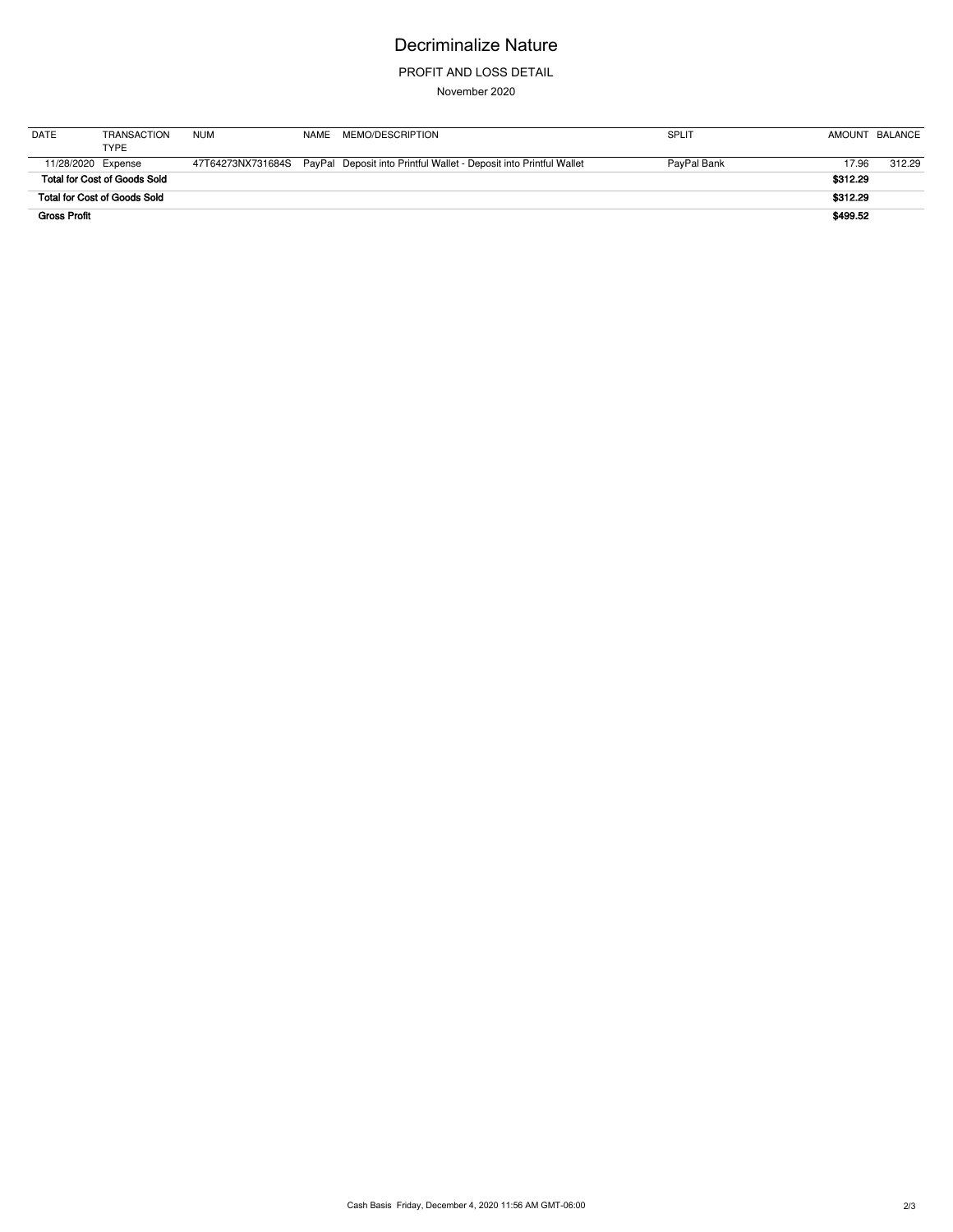# Decriminalize Nature

### PROFIT AND LOSS DETAIL

November 2020

| <b>DATE</b>         | <b>TRANSACTION</b><br>TYPE          | <b>NUM</b> | NAMF | MEMO/DESCRIPTION                                                                     | <b>SPLIT</b> |          | AMOUNT BALANCE |
|---------------------|-------------------------------------|------------|------|--------------------------------------------------------------------------------------|--------------|----------|----------------|
|                     | 11/28/2020 Expense                  |            |      | 47T64273NX731684S PayPal Deposit into Printful Wallet - Deposit into Printful Wallet | PayPal Bank  | 17.96    | 312.29         |
|                     | <b>Total for Cost of Goods Sold</b> |            |      |                                                                                      |              | \$312.29 |                |
|                     | <b>Total for Cost of Goods Sold</b> |            |      |                                                                                      |              | \$312.29 |                |
| <b>Gross Profit</b> |                                     |            |      |                                                                                      |              | \$499.52 |                |